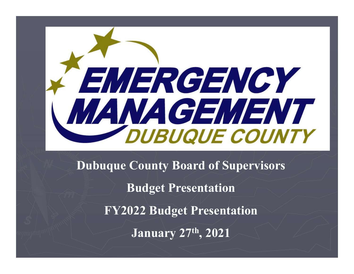

**Dubuque County Board of Supervisors Budget Presentation FY2022 Budget Presentation January 27th, 2021**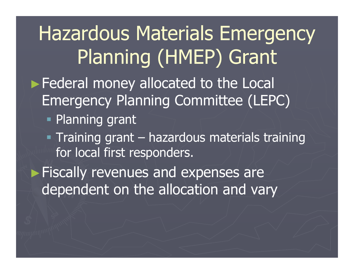Hazardous Materials Emergency Planning (HMEP) Grant ►Federal money allocated to the Local Emergency Planning Committee (LEPC) **Planning grant Training grant – hazardous materials training** for local first responders. ► Fiscally revenues and expenses are dependent on the allocation and vary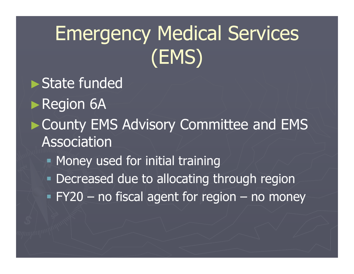## Emergency Medical Services (EMS)

►State funded ► Region 6A ►County EMS Advisory Committee and EMS Association**• Money used for initial training - Decreased due to allocating through region FY20** – no fiscal agent for region – no money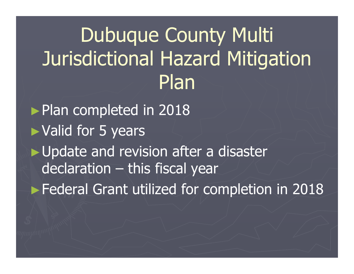## Dubuque County Multi Jurisdictional Hazard Mitigation Plan

►Plan completed in 2018 ►Valid for 5 years ►Update and revision after a disaster declaration – this fiscal year ►Federal Grant utilized for completion in 2018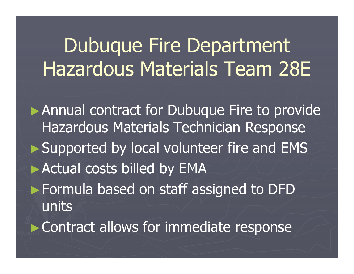## Dubuque Fire Department Hazardous Materials Team 28E

►Annual contract for Dubuque Fire to provide Hazardous Materials Technician Response ► Supported by local volunteer fire and EMS ► Actual costs billed by EMA ►Formula based on staff assigned to DFD units ►Contract allows for immediate response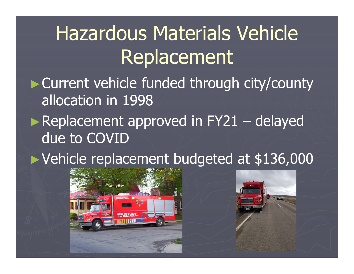## Hazardous Materials Vehicle Replacement

- ► Current vehicle funded through city/county allocation in 1998
- $\blacktriangleright$  Replacement approved in FY21 delayed due to COVID

►Vehicle replacement budgeted at \$136,000



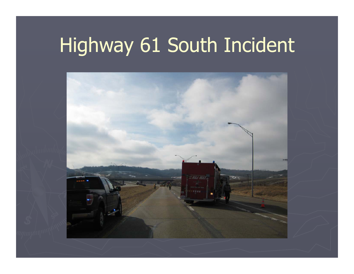## Highway 61 South Incident

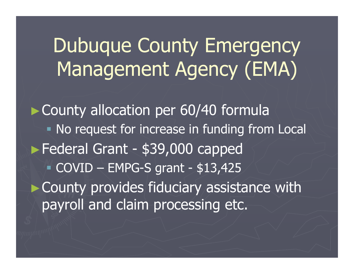## Dubuque County Emergency Management Agency (EMA)

► County allocation per 60/40 formula **- No request for increase in funding from Local** ►Federal Grant - \$39,000 capped COVID – EMPG-S grant - \$13,425 ►County provides fiduciary assistance with payroll and claim processing etc.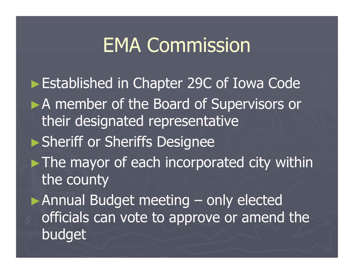#### EMA Commission

►Established in Chapter 29C of Iowa Code ►A member of the Board of Supervisors or their designated representative ► Sheriff or Sheriffs Designee ► The mayor of each incorporated city within the county ►Annual Budget meeting – only elected officials can vote to approve or amend the budget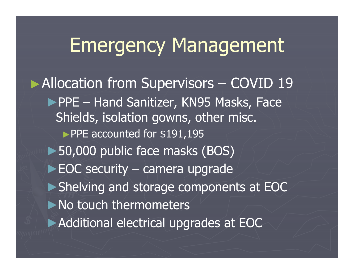### Emergency Management

►Allocation from Supervisors – COVID 19 ►PPE – Hand Sanitizer, KN95 Masks, Face Shields, isolation gowns, other misc. ►PPE accounted for \$191,195 ►50,000 public face masks (BOS) ► EOC security – camera upgrade ▶ Shelving and storage components at EOC ▶ No touch thermometers ▶ Additional electrical upgrades at EOC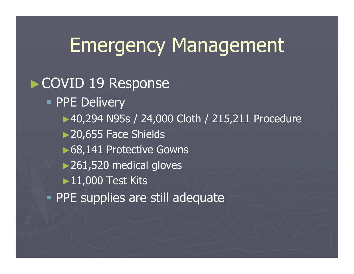#### Emergency Management

►COVID 19 Response **PPE Delivery** ►40,294 N95s / 24,000 Cloth / 215,211 Procedure ►20,655 Face Shields ►68,141 Protective Gowns ►261,520 medical gloves ►11,000 Test Kits **PPE supplies are still adequate**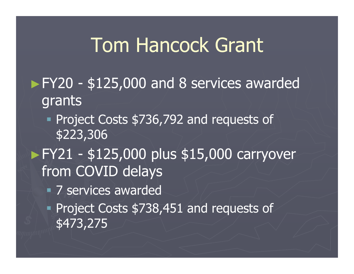#### Tom Hancock Grant

- ►FY20 \$125,000 and 8 services awarded grants
	- **Project Costs \$736,792 and requests of** \$223,306
- ►FY21 \$125,000 plus \$15,000 carryover from COVID delays
	- 7 services awarded
	- **Project Costs \$738,451 and requests of** \$473,275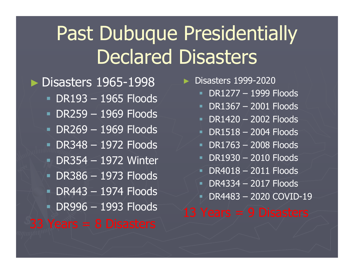## Past Dubuque Presidentially Declared Disasters

#### ► Disasters 1965-1998

- DR193 1965 Floods
- DR259 1969 Floods
- DR269 1969 Floods
- DR348 1972 Floods
- DR354 1972 Winter
- DR386 1973 Floods
- **DR443 1974 Floods**
- DR996 1993 Floods

- ► Disasters 1999-2020
	- DR1277 1999 Floods
	- DR1367 2001 Floods
	- DR1420 2002 Floods
	- DR1518 2004 Floods
	- DR1763 2008 Floods
	- DR1930 2010 Floods
	- DR4018 2011 Floods
	- DR4334 2017 Floods
	- DR4483 2020 COVID-19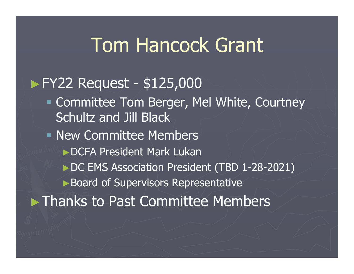#### Tom Hancock Grant

#### ►FY22 Request - \$125,000

- Committee Tom Berger, Mel White, Courtney Schultz and Jill Black
- **New Committee Members** ►DCFA President Mark Lukan►DC EMS Association President (TBD 1-28-2021) ► Board of Supervisors Representative ►Thanks to Past Committee Members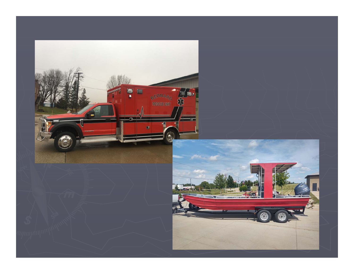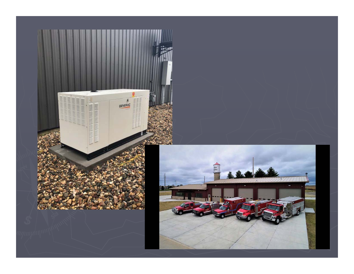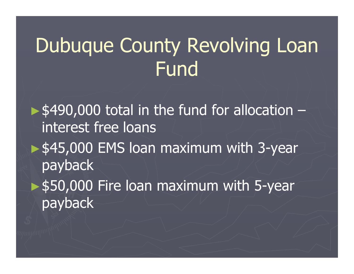## Dubuque County Revolving Loan Fund

 $\blacktriangleright$  \$490,000 total in the fund for allocation  $$ interest free loans ►\$45,000 EMS loan maximum with 3-year payback ►\$50,000 Fire loan maximum with 5-year payback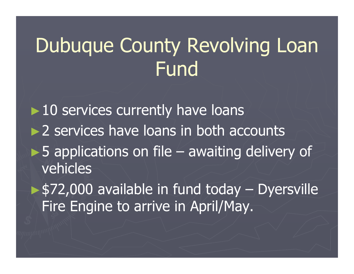## Dubuque County Revolving Loan Fund

► 10 services currently have loans ► 2 services have loans in both accounts  $\triangleright$  5 applications on file – awaiting delivery of vehicles►\$72,000 available in fund today – Dyersville Fire Engine to arrive in April/May.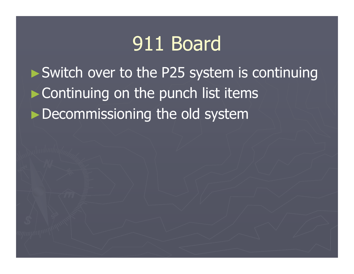### 911 Board

► Switch over to the P25 system is continuing ► Continuing on the punch list items ▶Decommissioning the old system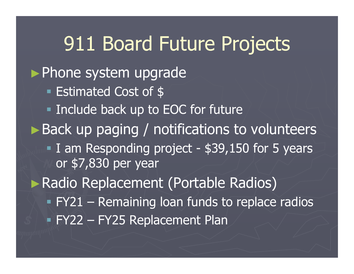911 Board Future Projects ►Phone system upgrade Estimated Cost of \$ **Include back up to EOC for future** ► Back up paging / notifications to volunteers I am Responding project - \$39,150 for 5 years or \$7,830 per year ►Radio Replacement (Portable Radios) **FY21 – Remaining loan funds to replace radios** FY22 – FY25 Replacement Plan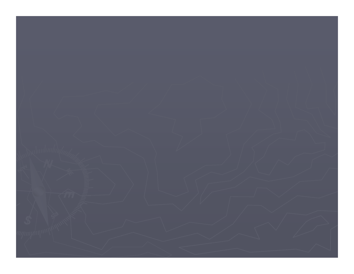